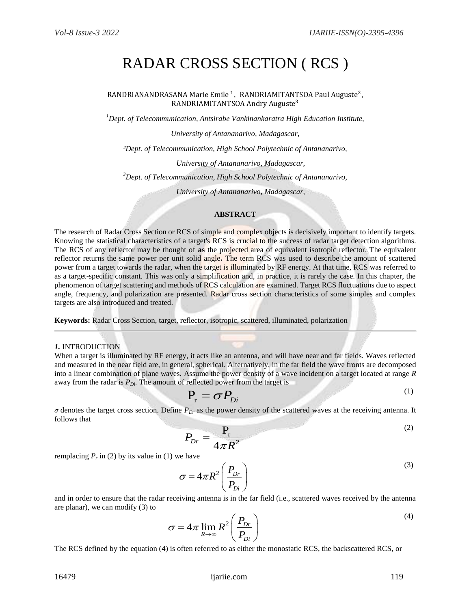# RADAR CROSS SECTION ( RCS )

# RANDRIANANDRASANA Marie Emile<sup>1</sup>, RANDRIAMITANTSOA Paul Auguste<sup>2</sup>, RANDRIAMITANTSOA Andry Auguste<sup>3</sup>

*<sup>1</sup>Dept. of Telecommunication, Antsirabe Vankinankaratra High Education Institute,*

*University of Antananarivo, Madagascar,*

*²Dept. of Telecommunication, High School Polytechnic of Antananarivo,*

*University of Antananarivo, Madagascar,*

*<sup>3</sup>Dept. of Telecommunication, High School Polytechnic of Antananarivo,*

*University of Antananarivo, Madagascar,*

#### **ABSTRACT**

The research of Radar Cross Section or RCS of simple and complex objects is decisively important to identify targets. Knowing the statistical characteristics of a target's RCS is crucial to the success of radar target detection algorithms. The RCS of any reflector may be thought of **as** the projected area of equivalent isotropic reflector. The equivalent reflector returns the same power per unit solid angle**.** The term RCS was used to describe the amount of scattered power from a target towards the radar, when the target is illuminated by RF energy. At that time, RCS was referred to as a target-specific constant. This was only a simplification and, in practice, it is rarely the case. In this chapter, the phenomenon of target scattering and methods of RCS calculation are examined. Target RCS fluctuations due to aspect angle, frequency, and polarization are presented. Radar cross section characteristics of some simples and complex targets are also introduced and treated.

**Keywords:** Radar Cross Section, target, reflector, isotropic, scattered, illuminated, polarization

# *1.* INTRODUCTION

When a target is illuminated by RF energy, it acts like an antenna, and will have near and far fields. Waves reflected and measured in the near field are, in general, spherical. Alternatively, in the far field the wave fronts are decomposed into a linear combination of plane waves. Assume the power density of a wave incident on a target located at range *R*  away from the radar is  $P_{Di}$ . The amount of reflected power from the target is

$$
P_r = \sigma P_{Di} \tag{1}
$$

 $\sigma$  denotes the target cross section. Define  $P_{Dr}$  as the power density of the scattered waves at the receiving antenna. It follows that

$$
P_{Dr} = \frac{P_r}{4\pi R^2} \tag{2}
$$

remplacing  $P_r$  in (2) by its value in (1) we have

(3)  $4\pi R^2\left(\frac{I_{Dr}}{I}\right)$ *Di P R P*  $\sigma = 4\pi k$  $(P_{D_{r}})$  $=4\pi R^2\left(\frac{I_{Dr}}{P_{Di}}\right)$ 

and in order to ensure that the radar receiving antenna is in the far field (i.e., scattered waves received by the antenna are planar), we can modify (3) to

$$
\sigma = 4\pi \lim_{R \to \infty} R^2 \left( \frac{P_{Dr}}{P_{Di}} \right)
$$
\n<sup>(4)</sup>

The RCS defined by the equation (4) is often referred to as either the monostatic RCS, the backscattered RCS, or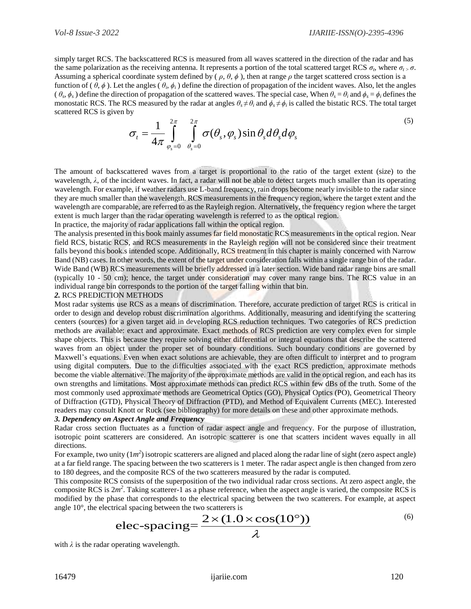simply target RCS. The backscattered RCS is measured from all waves scattered in the direction of the radar and has the same polarization as the receiving antenna. It represents a portion of the total scattered target RCS  $\sigma_t$ , where  $\sigma_t > \sigma$ . Assuming a spherical coordinate system defined by  $(\rho, \theta, \phi)$ , then at range  $\rho$  the target scattered cross section is a function of  $(\theta, \phi)$ . Let the angles  $(\theta_i, \phi_i)$  define the direction of propagation of the incident waves. Also, let the angles  $(\theta_s, \phi_s)$  define the direction of propagation of the scattered waves. The special case, When  $\theta_s = \theta_i$  and  $\phi_s = \phi_i$  defines the monostatic RCS. The RCS measured by the radar at angles  $\theta_s \neq \theta_i$  and  $\phi_s \neq \phi_i$  is called the bistatic RCS. The total target scattered RCS is given by

$$
\sigma_{t} = \frac{1}{4\pi} \int_{\varphi_{s}=0}^{2\pi} \int_{\theta_{s}=0}^{2\pi} \sigma(\theta_{s}, \varphi_{s}) \sin \theta_{s} d\theta_{s} d\varphi_{s}
$$
\n
$$
(5)
$$

The amount of backscattered waves from a target is proportional to the ratio of the target extent (size) to the wavelength,  $\lambda$ , of the incident waves. In fact, a radar will not be able to detect targets much smaller than its operating wavelength. For example, if weather radars use L-band frequency, rain drops become nearly invisible to the radar since they are much smaller than the wavelength. RCS measurements in the frequency region, where the target extent and the wavelength are comparable, are referred to as the Rayleigh region. Alternatively, the frequency region where the target extent is much larger than the radar operating wavelength is referred to as the optical region.

In practice, the majority of radar applications fall within the optical region.

The analysis presented in this book mainly assumes far field monostatic RCS measurements in the optical region. Near field RCS, bistatic RCS, and RCS measurements in the Rayleigh region will not be considered since their treatment falls beyond this book.s intended scope. Additionally, RCS treatment in this chapter is mainly concerned with Narrow Band (NB) cases. In other words, the extent of the target under consideration falls within a single range bin of the radar. Wide Band (WB) RCS measurements will be briefly addressed in a later section. Wide band radar range bins are small (typically 10 - 50 cm); hence, the target under consideration may cover many range bins. The RCS value in an individual range bin corresponds to the portion of the target falling within that bin.

#### *2.* RCS PREDICTION METHODS

Most radar systems use RCS as a means of discrimination. Therefore, accurate prediction of target RCS is critical in order to design and develop robust discrimination algorithms. Additionally, measuring and identifying the scattering centers (sources) for a given target aid in developing RCS reduction techniques. Two categories of RCS prediction methods are available: exact and approximate. Exact methods of RCS prediction are very complex even for simple shape objects. This is because they require solving either differential or integral equations that describe the scattered waves from an object under the proper set of boundary conditions. Such boundary conditions are governed by Maxwell's equations. Even when exact solutions are achievable, they are often difficult to interpret and to program using digital computers. Due to the difficulties associated with the exact RCS prediction, approximate methods become the viable alternative. The majority of the approximate methods are valid in the optical region, and each has its own strengths and limitations. Most approximate methods can predict RCS within few dBs of the truth. Some of the most commonly used approximate methods are Geometrical Optics (GO), Physical Optics (PO), Geometrical Theory of Diffraction (GTD), Physical Theory of Diffraction (PTD), and Method of Equivalent Currents (MEC). Interested readers may consult Knott or Ruck (see bibliography) for more details on these and other approximate methods.

*3. Dependency on Aspect Angle and Frequency*

Radar cross section fluctuates as a function of radar aspect angle and frequency. For the purpose of illustration, isotropic point scatterers are considered. An isotropic scatterer is one that scatters incident waves equally in all directions.

For example, two unity  $(1m^2)$  isotropic scatterers are aligned and placed along the radar line of sight (zero aspect angle) at a far field range. The spacing between the two scatterers is 1 meter. The radar aspect angle is then changed from zero to 180 degrees, and the composite RCS of the two scatterers measured by the radar is computed.

This composite RCS consists of the superposition of the two individual radar cross sections. At zero aspect angle, the composite RCS is  $2m^2$ . Taking scatterer-1 as a phase reference, when the aspect angle is varied, the composite RCS is modified by the phase that corresponds to the electrical spacing between the two scatterers. For example, at aspect angle 10°, the electrical spacing between the two scatterers is<br>  $\text{elec-spacing} = \frac{2 \times (1.0 \times \text{cos}(10^{\circ}))}{2}$  ( angle 10°, the electrical spacing between the two scatterers is

$$
elec-spaceing = \frac{2 \times (1.0 \times \cos(10^{\circ}))}{\lambda}
$$
 (6)

with  $\lambda$  is the radar operating wavelength.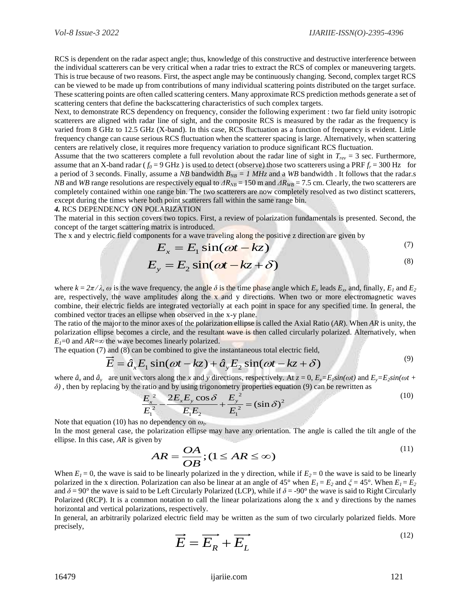RCS is dependent on the radar aspect angle; thus, knowledge of this constructive and destructive interference between the individual scatterers can be very critical when a radar tries to extract the RCS of complex or maneuvering targets. This is true because of two reasons. First, the aspect angle may be continuously changing. Second, complex target RCS can be viewed to be made up from contributions of many individual scattering points distributed on the target surface. These scattering points are often called scattering centers. Many approximate RCS prediction methods generate a set of scattering centers that define the backscattering characteristics of such complex targets.

Next, to demonstrate RCS dependency on frequency, consider the following experiment : two far field unity isotropic scatterers are aligned with radar line of sight, and the composite RCS is measured by the radar as the frequency is varied from 8 GHz to 12.5 GHz (X-band). In this case, RCS fluctuation as a function of frequency is evident. Little frequency change can cause serious RCS fluctuation when the scatterer spacing is large. Alternatively, when scattering centers are relatively close, it requires more frequency variation to produce significant RCS fluctuation.

Assume that the two scatterers complete a full revolution about the radar line of sight in  $T_{rev} = 3$  sec. Furthermore, assume that an X-band radar ( $f_0 = 9$  GHz) is used to detect (observe) those two scatterers using a PRF  $f_r = 300$  Hz for a period of 3 seconds. Finally, assume a *NB* bandwidth  $B_{NB} = 1$  *MHz* and a *WB* bandwidth. It follows that the radar.s *NB* and *WB* range resolutions are respectively equal to  $\Delta R_{NB} = 150$  m and  $\Delta R_{WB} = 7.5$  cm. Clearly, the two scatterers are completely contained within one range bin. The two scatterers are now completely resolved as two distinct scatterers, except during the times where both point scatterers fall within the same range bin.

#### *4.* RCS DEPENDENCY ON POLARIZATION

The material in this section covers two topics. First, a review of polarization fundamentals is presented. Second, the concept of the target scattering matrix is introduced.

The x and y electric field components for a wave traveling along the positive z direction are given by  $E_x = E_1 \sin(\omega t - kz)$ 

$$
E_x = E_1 \sin(\omega t - kz) \tag{7}
$$

$$
E_x = E_1 \sin(\omega t - kz)
$$
  
\n
$$
E_y = E_2 \sin(\omega t - kz + \delta)
$$
\n(8)

where  $k = 2\pi/\lambda$ ,  $\omega$  is the wave frequency, the angle  $\delta$  is the time phase angle which  $E_y$  leads  $E_x$ , and, finally,  $E_t$  and  $E_2$ are, respectively, the wave amplitudes along the  $x$  and  $y$  directions. When two or more electromagnetic waves combine, their electric fields are integrated vectorially at each point in space for any specified time. In general, the combined vector traces an ellipse when observed in the x-y plane.

The ratio of the major to the minor axes of the polarization ellipse is called the Axial Ratio (*AR*). When *AR* is unity, the polarization ellipse becomes a circle, and the resultant wave is then called circularly polarized. Alternatively, when  $E_I$ =0 and *AR*=∞ the wave becomes linearly polarized.

The equation (7) and (8) can be combined to give the instantaneous total electric field,

the wave becomes linearly polarized.  
\nand (8) can be combined to give the instantaneous total electric field,  
\n
$$
\vec{E} = \hat{a}_x E_1 \sin(\omega t - kz) + \hat{a}_y E_2 \sin(\omega t - kz + \delta)
$$
\n(9)

where  $\hat{a}_x$  and  $\hat{a}_y$  are unit vectors along the x and y directions, respectively. At  $z = 0$ ,  $E_x = E_y \sin(\omega t)$  and  $E_y = E_y \sin(\omega t + \omega t)$  $\delta$ ), then by replacing by the ratio and by using trigonometry properties equation (9) can be rewritten as  $\frac{E_x^2}{\delta} - \frac{2E_xE_y \cos\delta}{\delta} + \frac{E_y^2}{\delta} - (\sin\delta)^2$ 

ratio and by using trigonometry properties equation (9) can be rewritten as  
\n
$$
\frac{E_x^2}{E_1^2} - \frac{2E_x E_y \cos \delta}{E_1 E_2} + \frac{E_y^2}{E_1^2} = (\sin \delta)^2
$$
\n(10)

Note that equation (10) has no dependency on *ω<sup>t</sup>* .

In the most general case, the polarization ellipse may have any orientation. The angle is called the tilt angle of the ellipse. In this case, *AR* is given by

$$
AR = \frac{OA}{OB}; (1 \le AR \le \infty)
$$
\n(11)

When  $E_1 = 0$ , the wave is said to be linearly polarized in the y direction, while if  $E_2 = 0$  the wave is said to be linearly polarized in the x direction. Polarization can also be linear at an angle of 45° when  $E_1 = E_2$  and  $\zeta = 45$ °. When  $E_1 = E_2$ and  $\delta = 90^\circ$  the wave is said to be Left Circularly Polarized (LCP), while if  $\delta = -90^\circ$  the wave is said to Right Circularly Polarized (RCP). It is a common notation to call the linear polarizations along the x and y directions by the names horizontal and vertical polarizations, respectively.

In general, an arbitrarily polarized electric field may be written as the sum of two circularly polarized fields. More precisely,

$$
\overrightarrow{E} = \overrightarrow{E_R} + \overrightarrow{E_L}
$$
\n(12)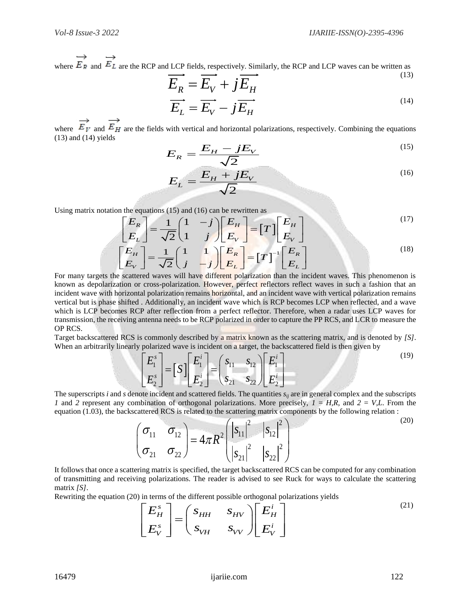where  $E_R$  and  $E_L$  are the RCP and LCP fields, respectively. Similarly, the RCP and LCP waves can be written as

$$
\overrightarrow{E_R} = \overrightarrow{E_V} + j\overrightarrow{E_H}
$$
\n<sup>(13)</sup>

$$
\overrightarrow{E_L} = \overrightarrow{E_V} - j\overrightarrow{E_H} \tag{14}
$$

where  $\overrightarrow{E_V}$  and  $\overrightarrow{E_H}$  are the fields with vertical and horizontal polarizations, respectively. Combining the equations (13) and (14) yields

$$
E_R = \frac{E_H - jE_V}{\sqrt{2}}\tag{15}
$$

$$
E_L = \frac{E_H + jE_V}{\sqrt{2}}\tag{16}
$$

Using matrix notation the equations (15) and (16) can be rewritten as

on the equations (15) and (16) can be rewritten as  
\n
$$
\begin{bmatrix}\nE_R \\
E_L\n\end{bmatrix} = \frac{1}{\sqrt{2}} \begin{bmatrix} 1 & -j \\ 1 & j \end{bmatrix} \begin{bmatrix} E_H \\ E_V \end{bmatrix} = [T] \begin{bmatrix} E_H \\ E_V \end{bmatrix}
$$
\n(17)

$$
\begin{bmatrix} E_L \end{bmatrix} = \frac{1}{\sqrt{2}} \begin{bmatrix} 1 & j \end{bmatrix} \begin{bmatrix} E_V \end{bmatrix} = \begin{bmatrix} I \end{bmatrix} \begin{bmatrix} E_V \end{bmatrix}
$$
\n
$$
\begin{bmatrix} E_H \\ E_V \end{bmatrix} = \frac{1}{\sqrt{2}} \begin{bmatrix} 1 & 1 \\ j & -j \end{bmatrix} \begin{bmatrix} E_R \\ E_L \end{bmatrix} = \begin{bmatrix} T \end{bmatrix}^{-1} \begin{bmatrix} E_R \\ E_L \end{bmatrix}
$$
\n(18)

For many targets the scattered waves will have different polarization than the incident waves. This phenomenon is known as depolarization or cross-polarization. However, perfect reflectors reflect waves in such a fashion that an incident wave with horizontal polarization remains horizontal, and an incident wave with vertical polarization remains vertical but is phase shifted . Additionally, an incident wave which is RCP becomes LCP when reflected, and a wave which is LCP becomes RCP after reflection from a perfect reflector. Therefore, when a radar uses LCP waves for transmission, the receiving antenna needs to be RCP polarized in order to capture the PP RCS, and LCR to measure the OP RCS.

Target backscattered RCS is commonly described by a matrix known as the scattering matrix, and is denoted by *[S]*.

When an arbitrarily linearly polarized wave is incident on a target, the backscattered field is then given by\n
$$
\begin{bmatrix}\nE_1^s \\
E_2^s\n\end{bmatrix} = \begin{bmatrix}\nS\n\end{bmatrix}\n\begin{bmatrix}\nE_1^i \\
E_2^i\n\end{bmatrix} = \begin{bmatrix}\nS_{11} & S_{12} \\
S_{21} & S_{22}\n\end{bmatrix}\n\begin{bmatrix}\nE_1^i \\
E_2^i\n\end{bmatrix}
$$
\n
$$
(19)
$$

The superscripts *i* and *s* denote incident and scattered fields. The quantities  $s_{ij}$  are in general complex and the subscripts *1* and *2* represent any combination of orthogonal polarizations. More precisely, *1* = *H,R*, and *2* = *V,L*. From the  $(20)$ 

equation (1.03), the backscattered RCS is related to the scattering matrix components by the following relation :  
\n
$$
\begin{pmatrix}\n\sigma_{11} & \sigma_{12} \\
\sigma_{21} & \sigma_{22}\n\end{pmatrix} = 4\pi R^2 \begin{pmatrix}\n|s_{11}|^2 & |s_{12}|^2 \\
|s_{21}|^2 & |s_{22}|^2\n\end{pmatrix}
$$
\n(20)

It follows that once a scattering matrix is specified, the target backscattered RCS can be computed for any combination of transmitting and receiving polarizations. The reader is advised to see Ruck for ways to calculate the scattering matrix *[S]*.

Rewriting the equation (20) in terms of the different possible orthogonal polarizations yields\n
$$
\begin{bmatrix}\nE_H^s \\
E_V^s\n\end{bmatrix} = \begin{bmatrix}\nS_{HH} & S_{HV} \\
S_{VH} & S_{VV}\n\end{bmatrix} \begin{bmatrix}\nE_H^i \\
E_V^i\n\end{bmatrix}
$$
\n
$$
(21)
$$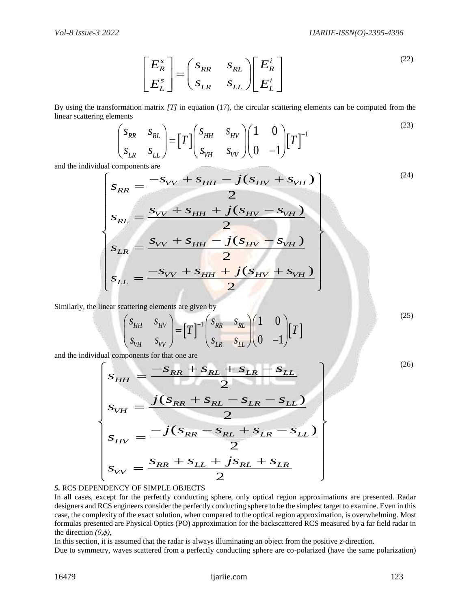$$
\begin{bmatrix} E_R^s \\ E_L^s \end{bmatrix} = \begin{pmatrix} s_{RR} & s_{RL} \\ s_{LR} & s_{LL} \end{pmatrix} \begin{bmatrix} E_R^i \\ E_L^i \end{bmatrix}
$$
\n<sup>(22)</sup>

By using the transformation matrix *[T]* in equation (17), the circular scattering elements can be computed from the linear scattering elements

$$
\begin{pmatrix}\nS_{RR} & S_{RL} \\
S_{LR} & S_{LL}\n\end{pmatrix} = \begin{bmatrix}\nT\n\end{bmatrix}\n\begin{pmatrix}\nS_{HH} & S_{HV} \\
S_{VH} & S_{VV}\n\end{pmatrix}\n\begin{pmatrix}\n1 & 0 \\
0 & -1\n\end{pmatrix}\n\begin{bmatrix}\nT\n\end{bmatrix}^{-1}
$$
\n<sup>(23)</sup>

and the individual components are

$$
\begin{pmatrix}\nS_{LR} & S_{LL}\n\end{pmatrix}\n\begin{pmatrix}\nS_{VH} & S_{VV}\n\end{pmatrix}\n\begin{pmatrix}\n0 & -1\n\end{pmatrix}
$$
\n
$$
\begin{pmatrix}\nS_{RR} = \frac{-S_{VV} + S_{HH} - j(S_{HV} + S_{VH})}{2} \\
S_{RL} = \frac{S_{VV} + S_{HH} + j(S_{HV} - S_{VH})}{2} \\
S_{LR} = \frac{S_{VV} + S_{HH} - j(S_{HV} - S_{VH})}{2} \\
S_{LL} = \frac{-S_{VV} + S_{HH} + j(S_{HV} + S_{VH})}{2}\n\end{pmatrix} (24)
$$

Similarly, the linear scattering elements are given by  
\n
$$
\begin{pmatrix}\nS_{HH} & S_{HV} \\
S_{VH} & S_{VV}\n\end{pmatrix} = [T]^{-1} \begin{pmatrix}\nS_{RR} & S_{RL} \\
S_{LR} & S_{LL}\n\end{pmatrix} \begin{pmatrix}\n1 & 0 \\
0 & -1\n\end{pmatrix} [T]
$$
\n(25)

and the individual components for that one are

$$
\left\{\n\begin{array}{c}\n\text{S}_{VH} & \text{S}_{VV}\n\end{array}\n\right.\n\begin{array}{c}\n\text{S}_{VH} & \text{S}_{LV}\n\end{array}\n\left\{\n\begin{array}{c}\n\text{S}_{LH} & \text{S}_{LV}\n\end{array}\n\right.\n\left\{\n\begin{array}{c}\n\text{S}_{HH} = \frac{-S_{RR} + S_{RL} + S_{LR} - S_{LL}}{2}\n\end{array}\n\right.\n\end{array}\n\right.\n\left\{\n\begin{array}{c}\n\text{S}_{VH} = \frac{j(S_{RR} + S_{RL} - S_{LR} - S_{LL})}{2}\n\end{array}\n\right.\n\left\{\n\begin{array}{c}\n\text{S}_{HV} = \frac{-j(S_{RR} - S_{RL} + S_{LR} - S_{LL})}{2}\n\end{array}\n\right.\n\left\{\n\begin{array}{c}\n\text{S}_{VV} = \frac{S_{RR} + S_{LL} + jS_{RL} + S_{LR}}{2}\n\end{array}\n\right.\n\right.\n\left.\n\left.\n\begin{array}{c}\n\text{NPPVCV OF STIR F OPIETSE}\n\end{array}\n\right.\n\end{array}\n\right.\n\right.\n\left.\n\left.\n\begin{array}{c}\n\text{S}_{VV} = \frac{S_{RR} + S_{LL} + jS_{RL} + S_{LR}}{2}\n\end{array}\n\right.\n\right.\n\left.\n\left.\n\begin{array}{c}\n\text{S}_{VV} = \frac{S_{RR} + S_{LL} + jS_{RL} + S_{LR}}{2}\n\end{array}\n\right.\n\right.\n\left.\n\left.\n\begin{array}{c}\n\text{S}_{VV} = \frac{S_{RR} + S_{LL} + jS_{RL} + S_{LR}}{2}\n\end{array}\n\right.\n\right.\n\left.\n\left.\n\begin{array}{c}\n\text{S}_{VV} = \frac{S_{RR} + S_{LL} + jS_{RL} + S_{LR}}{2}\n\end{array}\n\right.\n\right.\n\left.\n\left.\n\begin{array}{c}\n\text{S}_{VV} = \frac{S_{RR} + S_{LL} + jS_{RL} + S_{LR}}{2}\n\end{array}\n\right.\n\left.\n\begin{array}{c
$$

# *5.* RCS DEPENDENCY OF SIMPLE OBJECTS

In all cases, except for the perfectly conducting sphere, only optical region approximations are presented. Radar designers and RCS engineers consider the perfectly conducting sphere to be the simplest target to examine. Even in this case, the complexity of the exact solution, when compared to the optical region approximation, is overwhelming. Most formulas presented are Physical Optics (PO) approximation for the backscattered RCS measured by a far field radar in the direction  $(\theta, \phi)$ ,

In this section, it is assumed that the radar is always illuminating an object from the positive *z*-direction.

Due to symmetry, waves scattered from a perfectly conducting sphere are co-polarized (have the same polarization)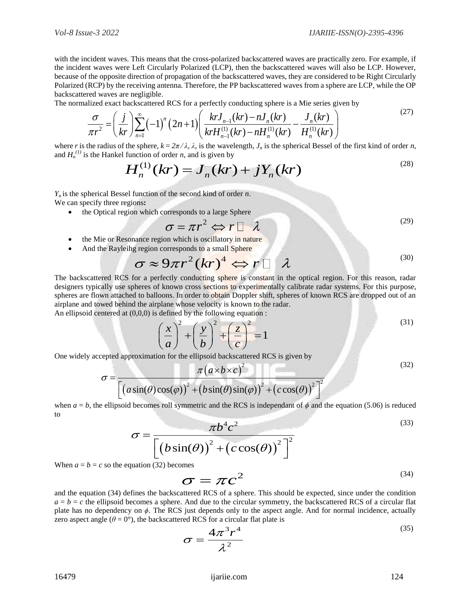(27)

 $(29)$ 

with the incident waves. This means that the cross-polarized backscattered waves are practically zero. For example, if the incident waves were Left Circularly Polarized (LCP), then the backscattered waves will also be LCP. However, because of the opposite direction of propagation of the backscattered waves, they are considered to be Right Circularly Polarized (RCP) by the receiving antenna. Therefore, the PP backscattered waves from a sphere are LCP, while the OP backscattered waves are negligible.

The normalized exact backscattered RCS for a perfectly conducting sphere is a Mie series given by

(RCP) by the receiving antenna. Therefore, the PP backscattered waves from a sphere are LCP, while the OF  
ered waves are negligible.  
alized exact backscattered RCS for a perfectly conducting sphere is a Mie series given by  

$$
\frac{\sigma}{\pi r^2} = \left(\frac{j}{kr}\right) \sum_{n=1}^{\infty} (-1)^n (2n+1) \left(\frac{krJ_{n-1}(kr) - nJ_n(kr)}{krH_{n-1}^{(1)}(kr) - nH_n^{(1)}(kr)} - \frac{J_n(kr)}{H_n^{(1)}(kr)}\right)
$$
(27)

where *r* is the radius of the sphere,  $k = 2\pi/\lambda$ ,  $\lambda$ , is the wavelength,  $J_n$  is the spherical Bessel of the first kind of order *n*,  $(28)$ 

and 
$$
H_n^{(1)}
$$
 is the Hankel function of order *n*, and is given by  
\n
$$
H_n^{(1)}(kr) = J_n(kr) + jY_n(kr)
$$
\n(28)

*Y<sup>n</sup>* is the spherical Bessel function of the second kind of order *n*. We can specify three regions**:**

• the Optical region which corresponds to a large Sphere

$$
\sigma = \pi r^2 \Leftrightarrow r \Box \quad \lambda \tag{29}
$$

- the Mie or Resonance region which is oscillatory in nature
- 

• And the Rayleigh region corresponds to a small Sphere  
\n
$$
\sigma \approx 9\pi r^2 (kr)^4 \Leftrightarrow r \Box \mathcal{A}
$$
\n(30)

The backscattered RCS for a perfectly conducting sphere is constant in the optical region. For this reason, radar designers typically use spheres of known cross sections to experimentally calibrate radar systems. For this purpose, spheres are flown attached to balloons. In order to obtain Doppler shift, spheres of known RCS are dropped out of an airplane and towed behind the airplane whose velocity is known to the radar.

An ellipsoid centered at  $(0,0,0)$  is defined by the following equation :

$$
\left(\frac{x}{a}\right)^2 + \left(\frac{y}{b}\right)^2 + \left(\frac{z}{c}\right)^2 = 1
$$
\n(31)

One widely accepted approximation for the ellipsoid backscattered RCS is given by

$$
(a) (b) (c)
$$
  
cepted approximation for the ellipsoid backscattered RCS is given by  

$$
\sigma = \frac{\pi (a \times b \times c)^2}{\left[ (a \sin(\theta) \cos(\varphi))^2 + (b \sin(\theta) \sin(\varphi))^2 + (c \cos(\theta))^2 \right]^2}
$$

when  $a = b$ , the ellipsoid becomes roll symmetric and the RCS is independant of  $\phi$  and the equation (5.06) is reduced to

$$
\sigma = \frac{\pi b^4 c^2}{\left[ \left( b \sin(\theta) \right)^2 + \left( c \cos(\theta) \right)^2 \right]^2}
$$
\n<sup>(33)</sup>

When  $a = b = c$  so the equation (32) becomes

$$
\sigma = \pi c^2 \tag{34}
$$

and the equation (34) defines the backscattered RCS of a sphere. This should be expected, since under the condition  $a = b = c$  the ellipsoid becomes a sphere. And due to the circular symmetry, the backscattered RCS of a circular flat plate has no dependency on  $\phi$ . The RCS just depends only to the aspect angle. And for normal incidence, actually zero aspect angle ( $\theta = 0^{\circ}$ ), the backscattered RCS for a circular flat plate is

$$
\sigma = \frac{4\pi^3 r^4}{\lambda^2} \tag{35}
$$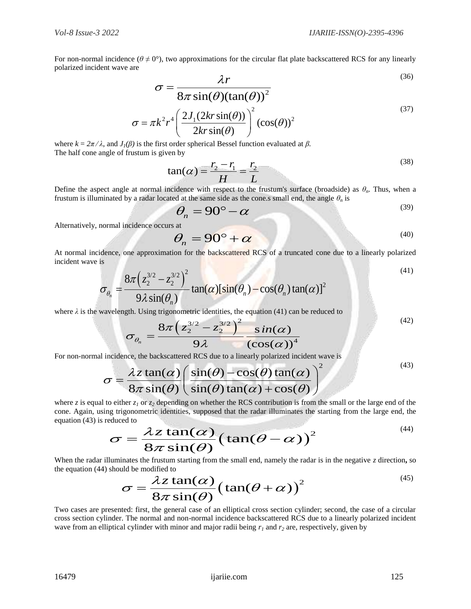$(28)$ 

 $\mathcal{L}$ 

 $(43)$ 

For non-normal incidence  $(\theta \neq 0^{\circ})$ , two approximations for the circular flat plate backscattered RCS for any linearly polarized incident wave are

$$
=\frac{\lambda r}{2\lambda r}
$$
 (36)

$$
\sigma = \frac{1}{8\pi \sin(\theta)(\tan(\theta))^2}
$$

$$
\sigma = \pi k^2 r^4 \left( \frac{2J_1(2kr\sin(\theta))}{2kr\sin(\theta)} \right)^2 (\cos(\theta))^2
$$
\n(37)

where  $k = 2\pi/\lambda$ , and  $J_I(\beta)$  is the first order spherical Bessel function evaluated at  $\beta$ . The half cone angle of frustum is given by

$$
\tan(\alpha) = \frac{r_2 - r_1}{H} = \frac{r_2}{L}
$$
\n(38)

Define the aspect angle at normal incidence with respect to the frustum's surface (broadside) as  $\theta_n$ . Thus, when a frustum is illuminated by a radar located at the same side as the cone.s small end, the angle *θ<sup>n</sup>* is  $(20)$ 

$$
\theta_n = 90^\circ - \alpha \tag{39}
$$

Alternatively, normal incidence occurs at

$$
\theta_n = 90^\circ + \alpha \tag{40}
$$

incident wave is  $(41)$ 

At normal incidence, one approximation for the backscattered RCS of a truncated cone due to a linearly polarized incident wave is  
\n
$$
\sigma_{\theta_n} = \frac{8\pi \left(z_2^{3/2} - z_2^{3/2}\right)^2}{9\lambda \sin(\theta_n)} \tan(\alpha) [\sin(\theta_n) - \cos(\theta_n) \tan(\alpha)]^2
$$
\n(41)

where 
$$
\lambda
$$
 is the wavelength. Using trigonometric identities, the equation (41) can be reduced to\n
$$
\sigma_{\theta_n} = \frac{8\pi \left(z_2^{3/2} - z_2^{3/2}\right)^2}{9\lambda} \frac{\sin(\alpha)}{(\cos(\alpha))^4}
$$
\n(42)

For non-normal incidence, the backscattered RCS due to a linearly polarized incident wave is

lineidence, the backscattered RCS due to a linearly polarized incident wave is  
\n
$$
\sigma = \frac{\lambda z \tan(\alpha)}{8\pi \sin(\theta)} \left( \frac{\sin(\theta) - \cos(\theta) \tan(\alpha)}{\sin(\theta) \tan(\alpha) + \cos(\theta)} \right)^2
$$
\n(43)

where *z* is equal to either  $z_1$  or  $z_2$  depending on whether the RCS contribution is from the small or the large end of the cone. Again, using trigonometric identities, supposed that the radar illuminates the starting from the large end, the equation (43) is reduced to<br>  $\sigma = \frac{\lambda z \tan(\alpha)}{\alpha} (\tan(\theta - \alpha))^2$  (44) equation (43) is reduced to

$$
\sigma = \frac{\lambda z \tan(\alpha)}{8\pi \sin(\theta)} \left(\tan(\theta - \alpha)\right)^2
$$
\n(44)

When the radar illuminates the frustum starting from the small end, namely the radar is in the negative *z* direction, so the equation (44) should be modified to  $\sigma = \frac{\lambda z \tan(\alpha)}{\sigma} (\tan(\theta + \alpha))^2$  (45) the equation (44) should be modified to

$$
\sigma = \frac{\lambda z \tan(\alpha)}{8\pi \sin(\theta)} \left(\tan(\theta + \alpha)\right)^2
$$
\n(45)

Two cases are presented: first, the general case of an elliptical cross section cylinder; second, the case of a circular cross section cylinder. The normal and non-normal incidence backscattered RCS due to a linearly polarized incident wave from an elliptical cylinder with minor and major radii being  $r<sub>l</sub>$  and  $r<sub>2</sub>$  are, respectively, given by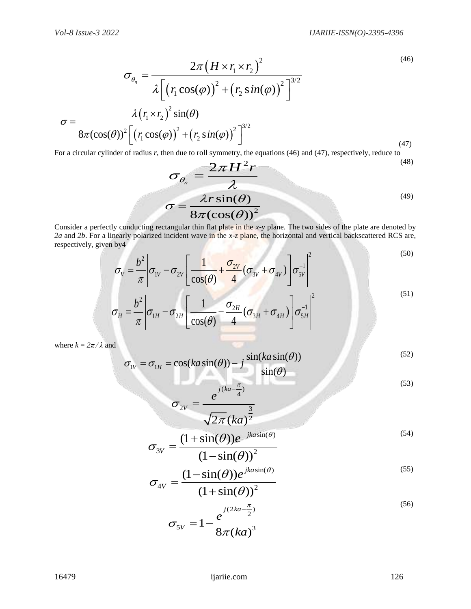(46)

$$
\sigma_{\theta_n} = \frac{2\pi \left(H \times r_1 \times r_2\right)^2}{\lambda \left[\left(r_1 \cos(\varphi)\right)^2 + \left(r_2 \sin(\varphi)\right)^2\right]^{3/2}}
$$
\n
$$
\sigma = \frac{\lambda \left(r_1 \times r_2\right)^2 \sin(\theta)}{8\pi (\cos(\theta))^2 \left[\left(r_1 \cos(\varphi)\right)^2 + \left(r_2 \sin(\varphi)\right)^2\right]^{3/2}}
$$
\n(47)

For a circular cylinder of radius *r*, then due to roll symmetry, the equations (46) and (47), respectively, reduce to

$$
\sigma_{\theta_n} = \frac{2\pi H^2 r}{\lambda}
$$
\n
$$
\sigma = \frac{\lambda r \sin(\theta)}{8\pi (\cos(\theta))^2}
$$
\n(48)

Consider a perfectly conducting rectangular thin flat plate in the *x-y* plane. The two sides of the plate are denoted by *2a* and *2b*. For a linearly polarized incident wave in the *x-z* plane, the horizontal and vertical backscattered RCS are, respectively, given by4  $(50)$ 

$$
\sigma_{v} = \frac{b^{2}}{\pi} \left| \sigma_{1v} - \sigma_{2v} \left[ \frac{1}{\cos(\theta)} + \frac{\sigma_{2v}}{4} (\sigma_{3v} + \sigma_{4v}) \right] \sigma_{5v}^{-1} \right|^{2}
$$
\n(50)

$$
\sigma_{H} = \frac{b^{2}}{\pi} \left| \sigma_{1H} - \sigma_{2H} \left[ \frac{1}{\cos(\theta)} - \frac{\sigma_{2H}}{4} (\sigma_{3H} + \sigma_{4H}) \right] \sigma_{5H}^{-1} \right|^{2}
$$
\n
$$
(51)
$$

where  $k = 2\pi/\lambda$  and

$$
\sigma_{W} = \sigma_{1H} = \cos(ka\sin(\theta)) - j\frac{\sin(ka\sin(\theta))}{\sin(\theta)}
$$
(52)  

$$
\sigma_{1} = \frac{j(ka - \frac{\pi}{4})}{\sin(\theta)}
$$
(53)

$$
\sigma_{2V} = \frac{e^{\int (\lambda a)^2}}{\sqrt{2\pi (ka)^2}}
$$
\n
$$
(1 + \sin(\theta))e^{-jk\alpha \sin(\theta)}
$$
\n(54)

$$
\sigma_{3V} = \frac{(1 + \sin(\theta))e^{-jk a \sin(\theta)}}{(1 - \sin(\theta))^2}
$$
\n(54)

$$
\sigma_{4V} = \frac{(1 - \sin(\theta))e^{jk a \sin(\theta)}}{(1 - \sin(\theta))^2}
$$
\n(55)

$$
\sigma_{4V} = \frac{(1 - \sin(\theta))^{2}}{(1 + \sin(\theta))^{2}}
$$
\n(56)

$$
\sigma_{5V} = 1 - \frac{e^{j(2ka - \frac{\pi}{2})}}{8\pi (ka)^3}
$$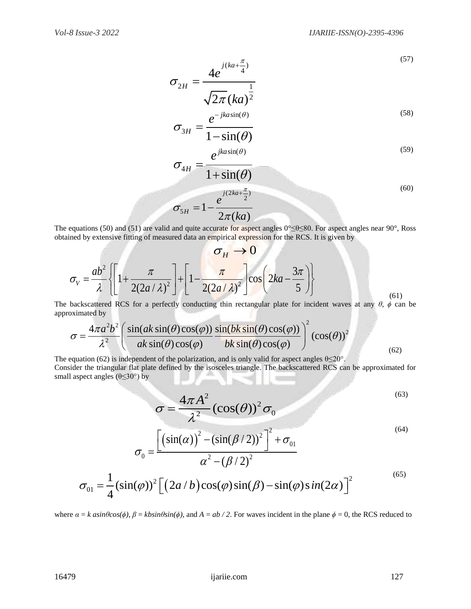$$
\sigma_{2H} = \frac{4e^{j(ka + \frac{\pi}{4})}}{\sqrt{2\pi (ka)^2}}
$$
\n
$$
\sigma_{3H} = \frac{e^{-jkasin(\theta)}}{(58)}
$$
\n(58)

$$
D_{3H} = \frac{1 - \sin(\theta)}{1 - \sin(\theta)}
$$
(59)

$$
\sigma_{4H} = \frac{e^{jk\alpha \sin(\theta)}}{1 + \sin(\theta)}
$$
(59)  

$$
\sigma_{5H} = 1 - \frac{e^{j(2ka + \frac{\pi}{2})}}{2\pi(ka)}
$$
(60)

The equations (50) and (51) are valid and quite accurate for aspect angles 0°≤θ≤80. For aspect angles near 90°, Ross obtained by extensive fitting of measured data an empirical expression for the RCS. It is given by **H**  $\overline{h}$ 

$$
\sigma_{H} \rightarrow 0
$$
  

$$
\sigma_{V} = \frac{ab^{2}}{\lambda} \left\{ \left[ 1 + \frac{\pi}{2(2a/\lambda)^{2}} \right] + \left[ 1 - \frac{\pi}{2(2a/\lambda)^{2}} \right] \cos \left( 2ka - \frac{3\pi}{5} \right) \right\}
$$
 (61)

approximated by  $^{2}b^{2}$ 

The backscattered RCS for a perfectly conducting thin rectangular plate for incident waves at any 
$$
\theta
$$
,  $\phi$  can be  
\napproximated by\n
$$
\sigma = \frac{4\pi a^2 b^2}{\lambda^2} \left( \frac{\sin(ak \sin(\theta) \cos(\varphi))}{ak \sin(\theta) \cos(\varphi)} \frac{\sin(bk \sin(\theta) \cos(\varphi))}{bk \sin(\theta) \cos(\varphi)} \right)^2 (\cos(\theta))^2
$$
\n(62)

The equation (62) is independent of the polarization, and is only valid for aspect angles  $\theta \leq 20^{\circ}$ . Consider the triangular flat plate defined by the isosceles triangle. The backscattered RCS can be approximated for small aspect angles ( $\theta \leq 30^{\circ}$ ) by

$$
\sigma = \frac{4\pi A^2}{\lambda^2} (\cos(\theta))^2 \sigma_0
$$
\n(63)

$$
\sigma_0 = \frac{\left[ (\sin(\alpha))^2 - (\sin(\beta/2))^2 \right]^2 + \sigma_{01}}{\alpha^2 - (\beta/2)^2}
$$
\n(64)

$$
\sigma_0 = \frac{1}{\alpha^2 - (\beta/2)^2}
$$

$$
\sigma_{01} = \frac{1}{4} (\sin(\varphi))^2 \left[ (2a/b)\cos(\varphi)\sin(\beta) - \sin(\varphi)\sin(2\alpha) \right]^2
$$
(65)

where  $\alpha = k \operatorname{asin} \theta \cos(\phi)$ ,  $\beta = k \operatorname{b} \sin \theta \sin(\phi)$ , and  $A = ab / 2$ . For waves incident in the plane  $\phi = 0$ , the RCS reduced to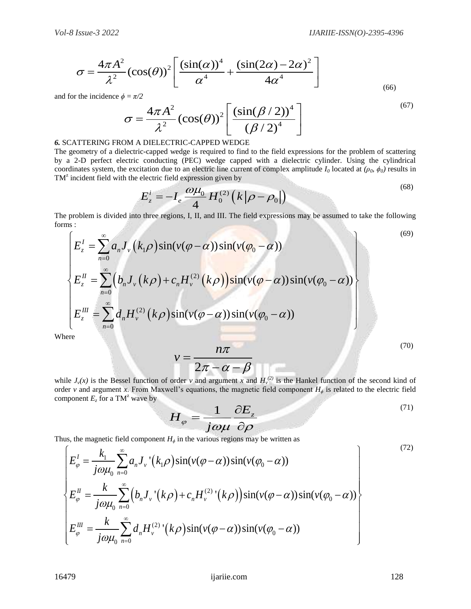$$
\sigma = \frac{4\pi A^2}{\lambda^2} (\cos(\theta))^2 \left[ \frac{(\sin(\alpha))^4}{\alpha^4} + \frac{(\sin(2\alpha) - 2\alpha)^2}{4\alpha^4} \right]
$$
\n(66)

and for the incidence  $\phi = \pi/2$ 

$$
\sigma = \frac{4\pi A^2}{\lambda^2} (\cos(\theta))^2 \left[ \frac{(\sin(\beta/2))^4}{(\beta/2)^4} \right]
$$
 (67)

## *6.* SCATTERING FROM A DIELECTRIC-CAPPED WEDGE

The geometry of a dielectric-capped wedge is required to find to the field expressions for the problem of scattering by a 2-D perfect electric conducting (PEC) wedge capped with a dielectric cylinder. Using the cylindrical coordinates system, the excitation due to an electric line current of complex amplitude  $I_0$  located at  $(\rho_0, \phi_0)$  results in  $TM<sup>z</sup>$  incident field with the electric field expression given by  $(60)$ 

$$
E_z^i = -I_e \frac{\omega \mu_0}{4} H_0^{(2)} \left( k \left| \rho - \rho_0 \right| \right)
$$
\n(68)

forms :  $(69)$ 

The problem is divided into three regions, I, II, and III. The field expressions may be assumed to take the following forms:  
\n
$$
E_z^I = \sum_{n=0}^{\infty} a_n J_v (k_1 \rho) \sin(v(\rho - \alpha)) \sin(v(\rho_0 - \alpha))
$$
\n
$$
E_z^I = \sum_{n=0}^{\infty} (b_n J_v (k \rho) + c_n H_v^{(2)} (k \rho)) \sin(v(\rho - \alpha)) \sin(v(\rho_0 - \alpha))
$$
\n
$$
E_z^{III} = \sum_{n=0}^{\infty} d_n H_v^{(2)} (k \rho) \sin(v(\rho - \alpha)) \sin(v(\rho_0 - \alpha))
$$
\nwhere

Whe

(70) 2 *n v*  $n\pi$  $\pi-\alpha-\beta$  $=$  $-\alpha - \beta$ 

while  $J_\nu(x)$  is the Bessel function of order  $\nu$  and argument x and  $H_\nu^{(2)}$  is the Hankel function of the second kind of order *v* and argument *x*. From Maxwell's equations, the magnetic field component *H<sup>ϕ</sup>* is related to the electric field component  $E_z$  for a TM<sup>z</sup> wave by

$$
H_{\varphi} = \frac{1}{j\omega\mu} \frac{\partial E_z}{\partial \rho}
$$
 (71)

Thus, the magnetic field component  $H_{\phi}$  in the various regions may be written as

$$
H_{\varphi} = \frac{z}{j\omega\mu} \frac{z}{\partial \rho}
$$
  
us, the magnetic field component  $H_{\phi}$  in the various regions may be written as  

$$
\begin{cases} E_{\varphi}^{I} = \frac{k_{1}}{j\omega\mu_{0}} \sum_{n=0}^{\infty} a_{n} J_{\nu} \Big( k_{1}\rho \Big) \sin(v(\varphi - \alpha)) \sin(v(\varphi_{0} - \alpha)) \\ E_{\varphi}^{II} = \frac{k}{j\omega\mu_{0}} \sum_{n=0}^{\infty} \Big( b_{n} J_{\nu} \Big( k \rho \Big) + c_{n} H_{\nu}^{(2)} \Big( k \rho \Big) \Big) \sin(v(\varphi - \alpha)) \sin(v(\varphi_{0} - \alpha)) \\ E_{\varphi}^{III} = \frac{k}{j\omega\mu_{0}} \sum_{n=0}^{\infty} d_{n} H_{\nu}^{(2)} \Big( k \rho \Big) \sin(v(\varphi - \alpha)) \sin(v(\varphi_{0} - \alpha)) \end{cases}
$$

$$
(72)
$$

 $(72)$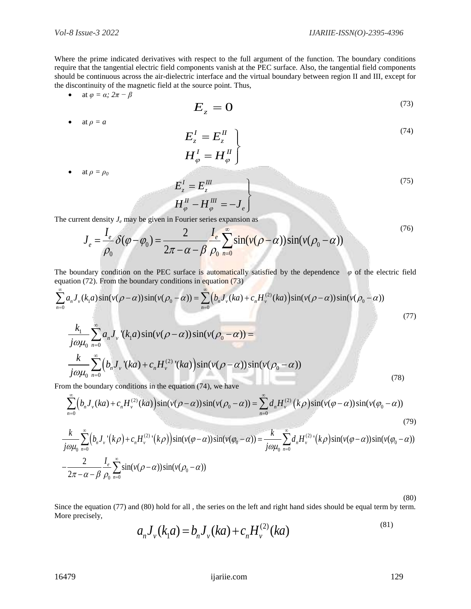Where the prime indicated derivatives with respect to the full argument of the function. The boundary conditions require that the tangential electric field components vanish at the PEC surface. Also, the tangential field components should be continuous across the air-dielectric interface and the virtual boundary between region II and III, except for the discontinuity of the magnetic field at the source point. Thus,

• at 
$$
\varphi = \alpha
$$
;  $2\pi - \beta$ 

$$
E_z = 0 \tag{73}
$$

at  $\rho = a$ 

$$
E_z^I = E_z^I
$$
  
\n
$$
H_{\varphi}^I = H_{\varphi}^I
$$
\n(74)

at  $\rho = \rho_0$ 

(75)  $I = E^{III}$  $\mathbf{z} = \mathbf{E}_z$ *II III e*  $E^I_z = E$  $H_\varphi^{I\hspace{-.15em}I\hspace{-.1em}I} - H_\varphi^{I\hspace{-.15em}I\hspace{-.1em}I\hspace{-.1em}I}= -J$  $=E_z^{III}$  |  $-\ddot{H}_{\varphi}^{III}=-\dot{J}_{e}\bigg\}$ 

The current density *J<sup>e</sup>* may be given in Fourier series expansion as

$$
H_{\varphi}^{\mu} - H_{\varphi}^{\mu} = -J_e
$$
  
ent density  $J_e$  may be given in Fourier series expansion as  

$$
J_e = \frac{I_e}{\rho_0} \delta(\varphi - \varphi_0) = \frac{2}{2\pi - \alpha - \beta} \frac{I_e}{\rho_0} \sum_{n=0}^{\infty} \sin(\nu(\rho - \alpha)) \sin(\nu(\rho_0 - \alpha))
$$
(76)

The boundary condition on the PEC surface is automatically satisfied by the dependence  $\varphi$  of the electric field The boundary condition on the PEC surface is automatic<br>quation (72). From the boundary conditions in equation (7)<br> $\sum_{n=0}^{\infty} a_n L(h, a) \sin(n(\pi a - \alpha)) \sin(n(\pi a - \alpha))$ 

$$
J_e = \frac{1}{\rho_0} \delta(\varphi - \varphi_0) = \frac{1}{2\pi - \alpha - \beta} \frac{1}{\rho_0} \sum_{n=0}^{P} \sin(\nu(\rho - \alpha)) \sin(\nu(\rho_0 - \alpha))
$$
  
The boundary condition on the PEC surface is automatically satisfied by the dependence  $\varphi$  of the electric field  
equation (72). From the boundary conditions in equation (73)  

$$
\sum_{n=0}^{\infty} a_n J_v(k_1 a) \sin(\nu(\rho - \alpha)) \sin(\nu(\rho_0 - \alpha)) = \sum_{n=0}^{\infty} (b_n J_v(ka) + c_n H_v^{(2)}(ka)) \sin(\nu(\rho - \alpha)) \sin(\nu(\rho_0 - \alpha))
$$
  

$$
\frac{k_1}{j\omega\mu_0} \sum_{n=0}^{\infty} a_n J_v'(k_1 a) \sin(\nu(\rho - \alpha)) \sin(\nu(\rho_0 - \alpha)) =
$$

$$
\frac{k}{j\omega\mu_0} \sum_{n=0}^{\infty} (b_n J_v'(ka) + c_n H_v^{(2)}(ka)) \sin(\nu(\rho - \alpha)) \sin(\nu(\rho_0 - \alpha))
$$

$$
\text{From the boundary conditions in the equation (74), we have}
$$

$$
\sum_{n=0}^{\infty} (b_n J_v(ka) + c_n H_v^{(2)}(ka)) \sin(\nu(\rho - \alpha)) \sin(\nu(\rho_0 - \alpha)) = \sum_{n=0}^{\infty} d_n H_v^{(2)}(k\rho) \sin(\nu(\varphi - \alpha)) \sin(\nu(\varphi_0 - \alpha))
$$

$$
(78)
$$

From the boundary conditions in the equation (74), we have

$$
\frac{\kappa}{j\omega\mu_0} \sum_{n=0}^{\infty} \left(b_n J_v\left(ka\right) + c_n H_v^{(2)}\left(ka\right)\right) \sin(v(\rho - \alpha)) \sin(v(\rho_0 - \alpha))
$$
\n(78)

\nIm the boundary conditions in the equation (74), we have

\n
$$
\sum_{n=0}^{\infty} \left(b_n J_v(ka) + c_n H_v^{(2)}(ka)\right) \sin(v(\rho - \alpha)) \sin(v(\rho_0 - \alpha)) = \sum_{n=0}^{\infty} d_n H_v^{(2)}\left(k\rho\right) \sin(v(\phi - \alpha)) \sin(v(\rho_0 - \alpha))
$$
\n(79)

\n
$$
\frac{k}{i\omega\mu_0} \sum_{n=0}^{\infty} \left(b_n J_v\left(k\rho\right) + c_n H_v^{(2)}\left(k\rho\right)\right) \sin(v(\phi - \alpha)) \sin(v(\phi_0 - \alpha)) = \frac{k}{j\omega\mu_0} \sum_{n=0}^{\infty} d_n H_v^{(2)}\left(k\rho\right) \sin(v(\phi - \alpha)) \sin(v(\rho_0 - \alpha))
$$

$$
J\omega\mu_0 \frac{\partial \mu_0}{n=0} \qquad (78)
$$
\nom the boundary conditions in the equation (74), we have

\n
$$
\sum_{n=0}^{\infty} \left( b_n J_v(ka) + c_n H_v^{(2)}(ka) \right) \sin(v(\rho - \alpha)) \sin(v(\rho_0 - \alpha)) = \sum_{n=0}^{\infty} d_n H_v^{(2)}(k\rho) \sin(v(\rho - \alpha)) \sin(v(\rho_0 - \alpha))
$$
\n
$$
\frac{k}{j\omega\mu_0} \sum_{n=0}^{\infty} \left( b_n J_v'(k\rho) + c_n H_v^{(2)}(k\rho) \right) \sin(v(\rho - \alpha)) \sin(v(\rho_0 - \alpha)) = \frac{k}{j\omega\mu_0} \sum_{n=0}^{\infty} d_n H_v^{(2)}(k\rho) \sin(v(\rho - \alpha)) \sin(v(\rho_0 - \alpha))
$$
\n
$$
-\frac{2}{2\pi - \alpha - \beta} \frac{I_e}{\rho_0} \sum_{n=0}^{\infty} \sin(v(\rho - \alpha)) \sin(v(\rho_0 - \alpha))
$$
\n(78)

(80)

Since the equation (77) and (80) hold for all , the series on the left and right hand sides should be equal term by term. More precisely,

$$
a_n J_\nu(k_1 a) = b_n J_\nu(ka) + c_n H_\nu^{(2)}(ka)
$$
\n<sup>(81)</sup>

#### 16479 ijariie.com 129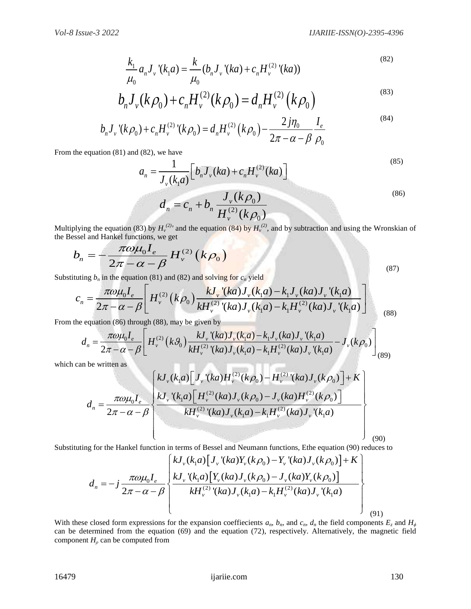$$
\frac{k_1}{\mu_0} a_n J_\nu\prime(k_1 a) = \frac{k}{\mu_0} (b_n J_\nu\prime(k a) + c_n H_\nu^{(2)}\prime(k a))
$$
\n(82)

$$
\mu_0 \mu_0
$$
  
\n
$$
b_n J_\nu(k \rho_0) + c_n H_\nu^{(2)}(k \rho_0) = d_n H_\nu^{(2)}(k \rho_0)
$$
 (83)

$$
b_n J_\nu(k\rho_0) + c_n H_\nu^{(2)}(k\rho_0) = d_n H_\nu^{(2)}(k\rho_0)
$$
  

$$
b_n J_\nu^{(k\rho_0)} + c_n H_\nu^{(2)}(k\rho_0) = d_n H_\nu^{(2)}(k\rho_0) - \frac{2j\eta_0}{2\pi - \alpha - \beta} \frac{I_e}{\rho_0}
$$
 (84)

From the equation (81) and (82), we have

$$
a_n = \frac{1}{J_v(k_1 a)} \Big[ b_n J_v(ka) + c_n H_v^{(2)}(ka) \Big]
$$
  
\n
$$
d_n = c_n + b_n \frac{J_v(k \rho_0)}{H_v^{(2)}(k \rho_0)}
$$
\n(86)

Multiplying the equation (83) by  $H_v^{(2)}$  and the equation (84) by  $H_v^{(2)}$ , and by subtraction and using the Wronskian of

the Bessel and Hankel functions, we get  
\n
$$
b_n = -\frac{\pi \omega \mu_0 I_e}{2\pi - \alpha - \beta} H_{\nu}^{(2)} (k \rho_0)
$$
\nSubstituting  $b_n$  in the equation (81) and (82) and solving for  $c_n$  yield  
\n
$$
c_n = \frac{\pi \omega \mu_0 I_e}{2\pi - \alpha} \left[ H_{\nu}^{(2)} (k \rho_0) \frac{k J_{\nu} (ka) J_{\nu} (k_1 a) - k_1 J_{\nu} (ka) J_{\nu} (k_1 a)}{2\pi - \alpha} \right]
$$
\n(87)

$$
D_n = -\frac{1}{2\pi - \alpha - \beta} \mathbf{H}_v \cdot (K \mathbf{P}_0)
$$
  
\nSubstituting  $b_n$  in the equation (81) and (82) and solving for  $c_n$  yield  
\n
$$
c_n = \frac{\pi \omega \mu_0 I_e}{2\pi - \alpha - \beta} \left[ H_v^{(2)}(k\rho_0) \frac{k J_v'(k a) J_v(k_1 a) - k_1 J_v(k a) J_v'(k_1 a)}{k H_v^{(2)}(k a) J_v(k_1 a) - k_1 H_v^{(2)}(k a) J_v'(k_1 a)} \right]
$$
  
\nFrom the equation (86) through (88), may be given by  
\n
$$
d_n = \frac{\pi \omega \mu_0 I_e}{2\pi - \alpha - \beta} \left[ H_v^{(2)}(k \mathcal{G}_0) \frac{k J_v'(k a) J_v(k_1 a) - k_1 J_v(k a) J_v'(k_1 a)}{k H_v^{(2)}(k a) J_v(k_1 a) - k_1 J_v(k a) J_v'(k_1 a)} - J_v(k \rho_0) \right]
$$
\n(88)

$$
C_n = \frac{1}{2\pi - \alpha - \beta} \left[ \frac{H_v}{kH_v^{(2)}} (ka) J_v(k_1 a) - k_1 H_v^{(2)}(ka) J_v(k_1 a) \right]
$$
  
From the equation (86) through (88), may be given by  

$$
d_n = \frac{\pi \omega \mu_0 I_e}{2\pi - \alpha - \beta} \left[ H_v^{(2)}(k\theta_0) \frac{k J_v}{kH_v^{(2)}} (ka) J_v(k_1 a) - k_1 J_v(k_1 a) J_v(k_1 a) - J_v(k \rho_0) \right]
$$
  
which can be written as  

$$
\left[ k J_v(k_1 a) \left[ J_v (ka) H_v^{(2)}(k \rho_0) - H_v^{(2)}(ka) J_v(k \rho_0) \right] + K \right]
$$
  
(89)

which can be written as

$$
a_n = \frac{1}{2\pi - \alpha - \beta} \left[ H_{\nu}^{(1)}(k\theta_0) \frac{1}{k H_{\nu}^{(2)}(k\alpha) J_{\nu}(k_1\alpha) - k_1 H_{\nu}^{(2)}(k\alpha) J_{\nu}(k_1\alpha)} - J_{\nu}(k\beta_0) \frac{1}{(89)}
$$
\nwhich can be written as\n
$$
d_n = \frac{\pi \omega \mu_0 I_e}{2\pi - \alpha - \beta} \left\{ \frac{k J_{\nu}(k_1\alpha) \left[ J_{\nu}(k\alpha) H_{\nu}^{(2)}(k\beta_0) - H_{\nu}^{(2)}(k\alpha) J_{\nu}(k\beta_0) \frac{1}{(89)} \right] + K}{k H_{\nu}^{(2)}(k\alpha) J_{\nu}(k\beta_0) - J_{\nu}(k\alpha) H_{\nu}^{(2)}(k\beta_0)} \frac{1}{(89)}
$$
\nSubstituting for the Hankel function in terms of Bessel and Neumann functions, Eth equation (90) reduces to

g for the Hankel function in terms of Bessel and Neumann functions, Ethe equation (90) reduces to  
\n
$$
d_n = -j \frac{\pi \omega \mu_0 I_e}{2\pi - \alpha - \beta} \left\{ \frac{k J_v(k_1 a) \left[ J_v'(ka) Y_v(k \rho_0) - Y_v'(ka) J_v(k \rho_0) \right] + K}{k H_v^{(2)}(ka) J_v(k_0) - J_v(ka) Y_v(k_0) \right\}}
$$
\n
$$
(90)
$$
\n
$$
d_n = -j \frac{\pi \omega \mu_0 I_e}{2\pi - \alpha - \beta} \left\{ \frac{k J_v'(k_1 a) \left[ Y_v(ka) J_v(k \rho_0) - J_v(ka) Y_v(k \rho_0) \right]}{k H_v^{(2)}(ka) J_v(k_1 a) - k_1 H_v^{(2)}(ka) J_v'(k_1 a)} \right\}
$$
\n(91)

With these closed form expressions for the expansion coeffiecients  $a_n$ ,  $b_n$ , and  $c_n$ ,  $d_n$  the field components  $E_z$  and  $H_\phi$ can be determined from the equation (69) and the equation (72), respectively. Alternatively, the magnetic field component  $H_\rho$  can be computed from

### 16479 ijariie.com 130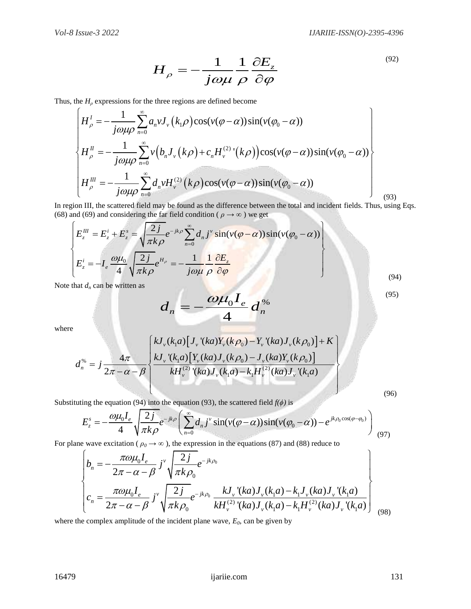(92)

$$
H_{\rho} = -\frac{1}{j\omega\mu} \frac{1}{\rho} \frac{\partial E_{z}}{\partial \varphi}
$$

Thus, the  $H_\rho$  expressions for the three regions are defined become

$$
\int \mathcal{O}\mathcal{U} \cdot \mathcal{O} \cdot \mathcal{O}\mathcal{O}
$$
  
\nthe  $H_{\rho}$  expressions for the three regions are defined become  
\n
$$
\begin{cases}\nH_{\rho}^{I} = -\frac{1}{j\omega\mu\rho} \sum_{n=0}^{\infty} a_{n} v J_{\nu} (k_{1}\rho) \cos(v(\varphi - \alpha)) \sin(v(\varphi_{0} - \alpha)) \\
H_{\rho}^{II} = -\frac{1}{j\omega\mu\rho} \sum_{n=0}^{\infty} v (b_{n} J_{\nu} (k\rho) + c_{n} H_{\nu}^{(2)} (k\rho)) \cos(v(\varphi - \alpha)) \sin(v(\varphi_{0} - \alpha)) \\
H_{\rho}^{III} = -\frac{1}{j\omega\mu\rho} \sum_{n=0}^{\infty} d_{n} v H_{\nu}^{(2)} (k\rho) \cos(v(\varphi - \alpha)) \sin(v(\varphi_{0} - \alpha)) \\
H_{\rho}^{III} = -\frac{1}{j\omega\mu\rho} \sum_{n=0}^{\infty} d_{n} v H_{\nu}^{(2)} (k\rho) \cos(v(\varphi - \alpha)) \sin(v(\varphi_{0} - \alpha))\n\end{cases}
$$
\n(93)

gion III, the scattered field may be found as the difference between the total and incident fields.<br>and (69) and considering the far field condition ( $\rho \rightarrow \infty$ ) we get<br> $\left[ E_{\perp}^{III} = E_{\perp}^{i} + E_{\perp}^{s} = \sqrt{\frac{2j}{\pi}} e^{-jk\rho} \sum$ 

In region III, the scattered field may be found as the difference between the total and incident fields. Thus, using Eqs.  
\n(68) and (69) and considering the far field condition 
$$
(\rho \to \infty)
$$
 we get\n
$$
\begin{aligned}\n\left[ E_z^{III} = E_z^i + E_z^s = \sqrt{\frac{2j}{\pi k \rho}} e^{-jk\rho} \sum_{n=0}^{\infty} d_n j^v \sin(v(\varphi - \alpha)) \sin(v(\varphi_0 - \alpha)) \right] \\
E_z^i = -I_e \frac{\omega \mu_0}{4} \sqrt{\frac{2j}{\pi k \rho}} e^{H_\rho} = -\frac{1}{j \omega \mu} \frac{1}{\rho} \frac{\partial E_z}{\partial \varphi}\n\end{aligned}
$$
\n(94)

Note that  $d_n$  can be written as

$$
d_n = -\frac{\omega \mu_0 I_e}{4} d_n^{\frac{9}{6}}
$$
  

$$
\left[ k J_\nu(k_1 a) [J_\nu (ka) Y_\nu (k \rho_0) - Y_\nu (ka) J_\nu (k \rho_0)] + K \right]
$$
<sup>(95)</sup>

where

$$
d_{n}^{\infty} = j \frac{4\pi}{2\pi - \alpha - \beta} \left\{ \frac{kJ_{\nu}(k_{1}a)[J_{\nu}(ka)Y_{\nu}(k\rho_{0}) - Y_{\nu}(ka)J_{\nu}(k\rho_{0})] + K}{kJ_{\nu}^{''}(k_{1}a)[Y_{\nu}(ka)J_{\nu}(k\rho_{0}) - J_{\nu}(ka)Y_{\nu}(k\rho_{0})]} \right\}
$$
\n(96)

Substituting the equation (94) into the equation (93), the scattered field 
$$
f(\phi)
$$
 is  
\n
$$
E_z^s = -\frac{\omega \mu_0 I_e}{4} \sqrt{\frac{2j}{\pi k \rho}} e^{-jk\rho} \left( \sum_{n=0}^{\infty} d_n j^v \sin(v(\phi - \alpha)) \sin(v(\phi_0 - \alpha)) - e^{jk\rho_0 \cos(\phi - \phi_0)} \right)
$$
\nFor plane wave excitation  $(\rho_0 \to \infty)$ , the expression in the equations (87) and (88) reduce to  
\n
$$
b_x = -\frac{\pi \omega \mu_0 I_e}{\sqrt{\frac{2j}{\pi k \rho}}} i^v \sqrt{\frac{2j}{\sqrt{\frac{2j}{\pi k \rho_0}}} e^{-jk\rho_0}
$$

For plane wave excitation ( $\rho_0 \rightarrow \infty$ ), the expression in the equations (87) and (88) reduce to

$$
4 \sqrt{\pi k} \rho \left(\frac{1}{n=0}\right)
$$
\n
$$
e
$$
 wave excitation  $(\rho_0 \to \infty)$ , the expression in the equations (87) and (88) reduce to\n
$$
\left[ b_n = -\frac{\pi \omega \mu_0 I_e}{2\pi - \alpha - \beta} j^v \sqrt{\frac{2j}{\pi k \rho_0}} e^{-jk\rho_0} \right]
$$
\n
$$
c_n = \frac{\pi \omega \mu_0 I_e}{2\pi - \alpha - \beta} j^v \sqrt{\frac{2j}{\pi k \rho_0}} e^{-jk\rho_0} \frac{k J_v'(ka) J_v(k_1 a) - k_1 J_v(ka) J_v'(k_1 a)}{k H_v^{(2)}'(ka) J_v(k_1 a) - k_1 H_v^{(2)}(ka) J_v'(k_1 a)} \right]
$$
\n
$$
e
$$
 complex amplitude of the incident plane wave.  $E$  can be given by

where the complex amplitude of the incident plane wave, *E0*, can be given by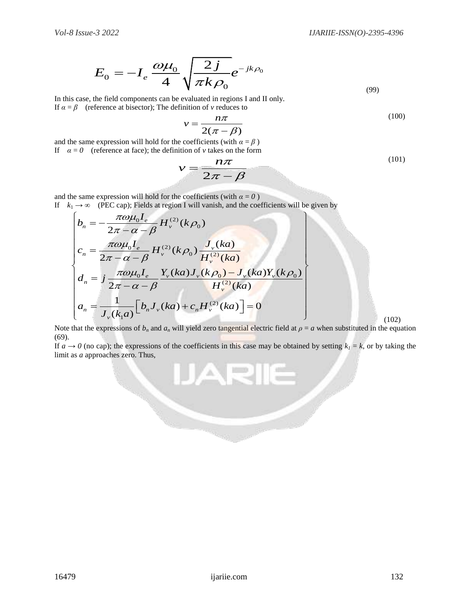(99)

$$
E_0 = -I_e \frac{\omega \mu_0}{4} \sqrt{\frac{2j}{\pi k \rho_0}} e^{-jk\rho_0}
$$

In this case, the field components can be evaluated in regions I and II only. If  $\alpha = \beta$  (reference at bisector); The definition of *v* reduces to

$$
v = \frac{n\pi}{2(\pi - \beta)}
$$
(100)

and the same expression will hold for the coefficients (with  $\alpha = \beta$ ) If  $\alpha = 0$  (reference at face); the definition of *v* takes on the form<br> $\eta = \sqrt{2\pi}$ 

$$
v = \frac{n\pi}{2\pi - \beta} \tag{101}
$$

and the same expression will hold for the coefficients (with  $\alpha = 0$ ) If  $k_1 \rightarrow \infty$  (PEC cap); Fields at region I will vanish, and the coefficients will be given by

The same expression will hold for the coefficients (with 
$$
a = 0
$$
)  
\n $_{1} \rightarrow \infty$  (PEC cap); Fields at region I will vanish, and the coefficients will be given by  
\n
$$
\begin{cases}\nb_{n} = -\frac{\pi \omega \mu_{0} I_{e}}{2\pi - \alpha - \beta} H_{\nu}^{(2)}(k\rho_{0}) \\
c_{n} = \frac{\pi \omega \mu_{0} I_{e}}{2\pi - \alpha - \beta} H_{\nu}^{(2)}(k\rho_{0}) \frac{J_{\nu}(ka)}{H_{\nu}^{(2)}(ka)} \\
d_{n} = j \frac{\pi \omega \mu_{0} I_{e}}{2\pi - \alpha - \beta} \frac{Y_{\nu}(ka) J_{\nu}(k\rho_{0}) - J_{\nu}(ka) Y_{\nu}(k\rho_{0})}{H_{\nu}^{(2)}(ka)} \\
a_{n} = \frac{1}{J_{\nu}(k_{1}a)} \Big[b_{n} J_{\nu}(ka) + c_{n} H_{\nu}^{(2)}(ka)\Big] = 0\n\end{cases}
$$

(102)

Note that the expressions of  $b_n$  and  $a_n$  will yield zero tangential electric field at  $\rho = a$  when substituted in the equation (69).

If  $a \rightarrow 0$  (no cap); the expressions of the coefficients in this case may be obtained by setting  $k<sub>1</sub> = k$ , or by taking the limit as *a* approaches zero. Thus,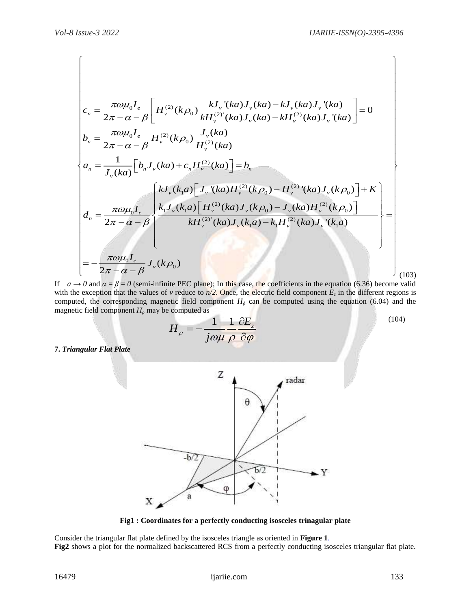$$
lJARIIE-JSSN(O)-2395-4396
$$
\n
$$
\begin{bmatrix}\nc_n = \frac{\pi \omega \mu_0 I_e}{2\pi - \alpha - \beta} \left[ H_y^{(2)}(k\rho_0) \frac{kJ_y(k\alpha)J_y(k\alpha) - kJ_y(k\alpha)J_y'(k\alpha)}{kH_y^{(2)}(k\alpha)J_y(k\alpha) - kH_y^{(2)}(k\alpha)J_y(k\alpha)} \right] = 0 \\
b_n = \frac{\pi \omega \mu_0 I_e}{2\pi - \alpha - \beta} H_y^{(2)}(k\rho_0) \frac{J_y(k\alpha)}{H_y^{(2)}(k\alpha)} \\
a_n = \frac{1}{J_y(k\alpha)} \left[ b_n J_y(k\alpha) + c_n H_y^{(2)}(k\alpha) \right] = b_n \\
d_n = \frac{\pi \omega \mu_0 I_e}{2\pi - \alpha - \beta} \left\{ \frac{kJ_y(k_1\alpha) \left[ J_y'(k\alpha)J_y(k\rho_0) - J_y(k\alpha)J_y(k\rho_0) \right] + K}{kH_y^{(2)}(k\alpha)J_y(k\rho_0) - k_1 H_y^{(2)}(k\alpha)J_y(k\rho_0)} \right\} = 0 \\
d_n = \frac{\pi \omega \mu_0 I_e}{2\pi - \alpha - \beta} \left\{ \frac{kJ_y(k_1\alpha) \left[ H_y^{(2)}(k\alpha)J_y(k\rho_0) - J_y(k\alpha)H_y^{(2)}(k\rho_0) \right]}{kH_y^{(2)}(k\alpha)J_y(k_1\alpha) - k_1 H_y^{(2)}(k\alpha)J_y(k_1\alpha)} \right\} = 0\n\end{bmatrix} \tag{103}
$$

If  $a \rightarrow 0$  and  $\alpha = \beta = 0$  (semi-infinite PEC plane); In this case, the coefficients in the equation (6.36) become valid with the exception that the values of *v* reduce to  $n/2$ . Once, the electric field component  $E_z$  in the different regions is computed, the corresponding magnetic field component  $H$ <sup> $\phi$ </sup> can be computed using the equation (6.04) and the magnetic field component  $H$ <sup> $p$ </sup> may be computed as

$$
H_{\rho} = -\frac{1}{j\omega\mu} \frac{1}{\rho} \frac{\partial E_z}{\partial \varphi}
$$
 (104)

**7.** *Triangular Flat Plate*



**Fig1 : Coordinates for a perfectly conducting isosceles trinagular plate**

Consider the triangular flat plate defined by the isosceles triangle as oriented in **Figure 1**. **Fig2** shows a plot for the normalized backscattered RCS from a perfectly conducting isosceles triangular flat plate.